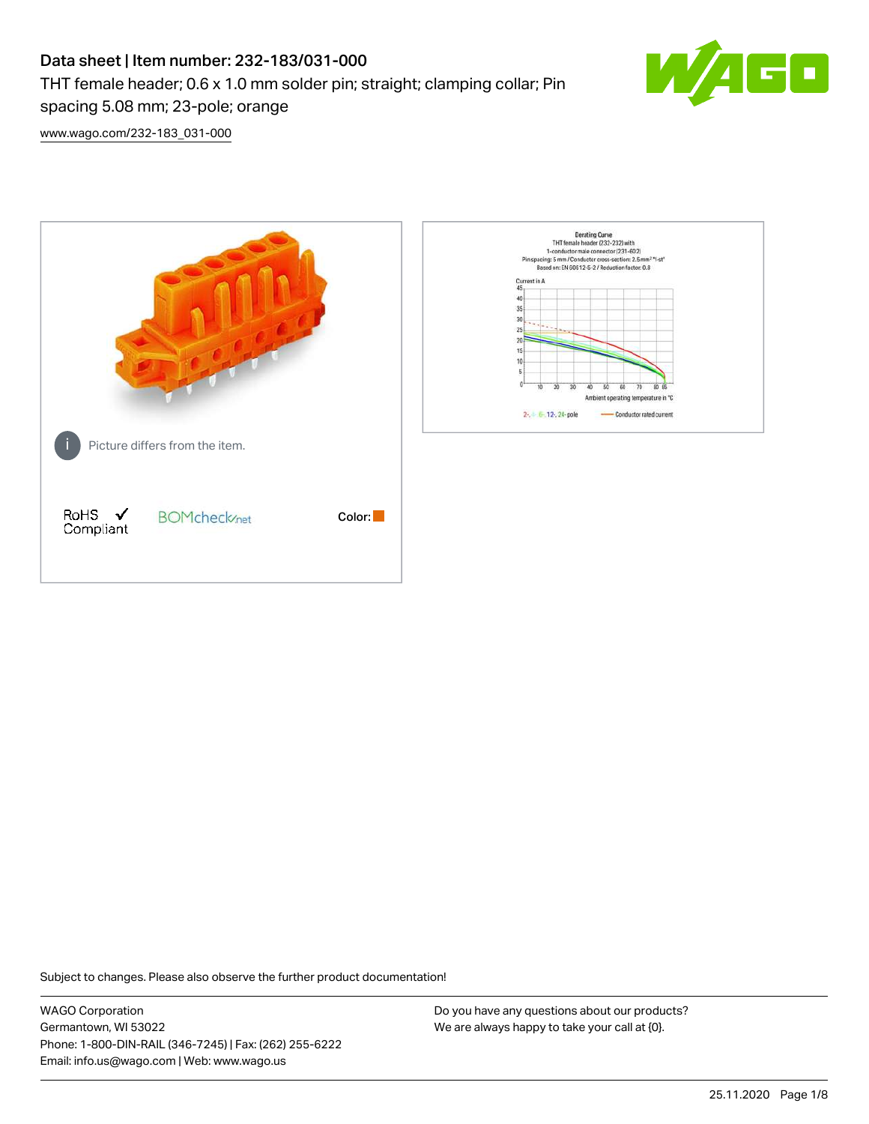# Data sheet | Item number: 232-183/031-000 THT female header; 0.6 x 1.0 mm solder pin; straight; clamping collar; Pin spacing 5.08 mm; 23-pole; orange



[www.wago.com/232-183\\_031-000](http://www.wago.com/232-183_031-000)



Subject to changes. Please also observe the further product documentation!

WAGO Corporation Germantown, WI 53022 Phone: 1-800-DIN-RAIL (346-7245) | Fax: (262) 255-6222 Email: info.us@wago.com | Web: www.wago.us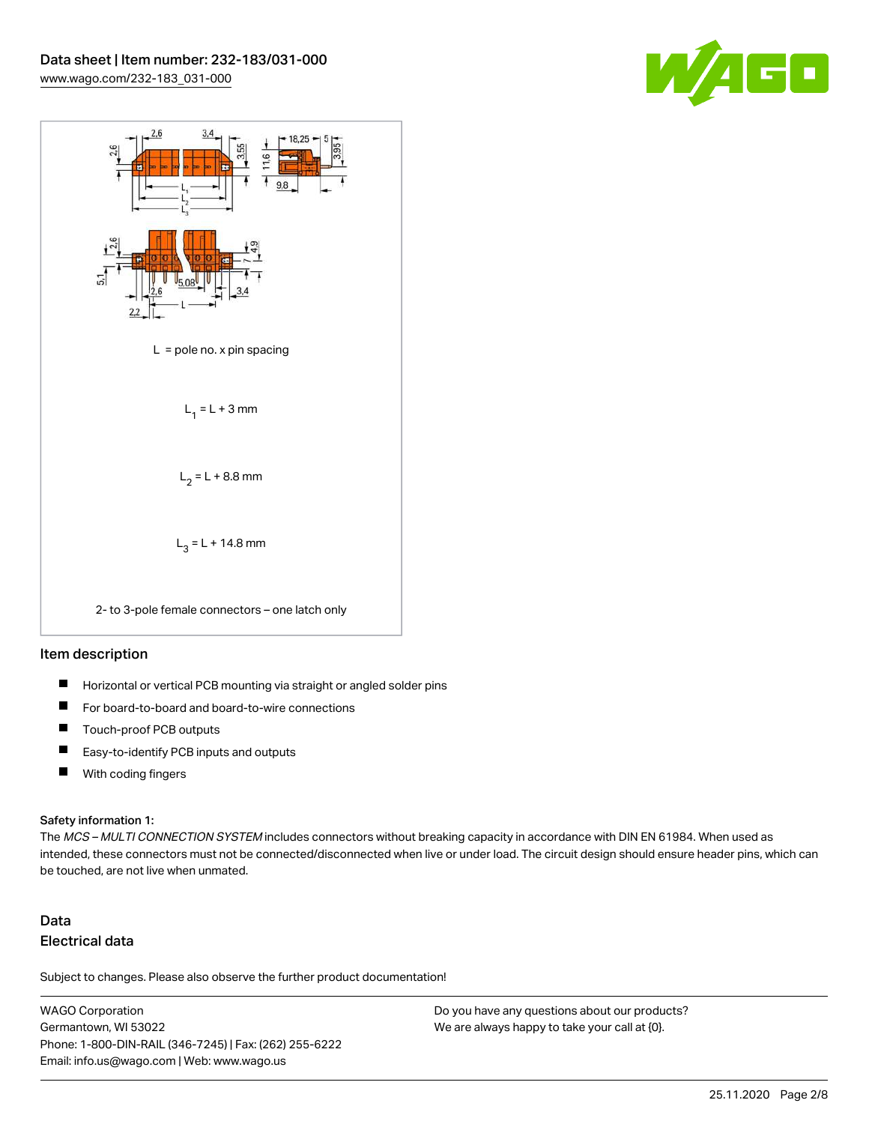



#### Item description

- $\blacksquare$ Horizontal or vertical PCB mounting via straight or angled solder pins
- П For board-to-board and board-to-wire connections
- $\blacksquare$ Touch-proof PCB outputs
- $\blacksquare$ Easy-to-identify PCB inputs and outputs
- $\blacksquare$ With coding fingers

#### Safety information 1:

The MCS - MULTI CONNECTION SYSTEM includes connectors without breaking capacity in accordance with DIN EN 61984. When used as intended, these connectors must not be connected/disconnected when live or under load. The circuit design should ensure header pins, which can be touched, are not live when unmated.

## Data Electrical data

Subject to changes. Please also observe the further product documentation!

WAGO Corporation Germantown, WI 53022 Phone: 1-800-DIN-RAIL (346-7245) | Fax: (262) 255-6222 Email: info.us@wago.com | Web: www.wago.us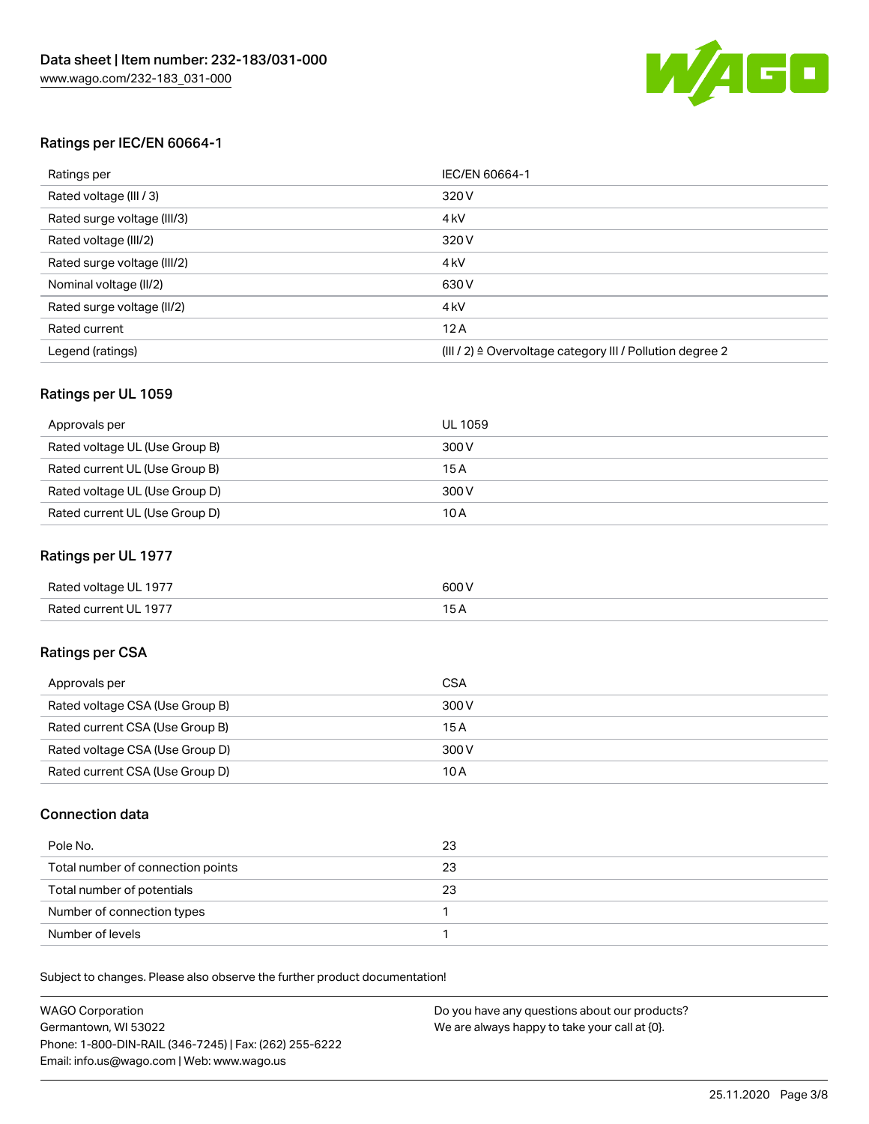

#### Ratings per IEC/EN 60664-1

| Ratings per                 | IEC/EN 60664-1                                                        |
|-----------------------------|-----------------------------------------------------------------------|
| Rated voltage (III / 3)     | 320 V                                                                 |
| Rated surge voltage (III/3) | 4 <sub>k</sub> V                                                      |
| Rated voltage (III/2)       | 320 V                                                                 |
| Rated surge voltage (III/2) | 4 <sub>k</sub> V                                                      |
| Nominal voltage (II/2)      | 630 V                                                                 |
| Rated surge voltage (II/2)  | 4 <sub>k</sub> V                                                      |
| Rated current               | 12A                                                                   |
| Legend (ratings)            | $(III / 2)$ $\triangle$ Overvoltage category III / Pollution degree 2 |

#### Ratings per UL 1059

| Approvals per                  | UL 1059 |
|--------------------------------|---------|
| Rated voltage UL (Use Group B) | 300 V   |
| Rated current UL (Use Group B) | 15 A    |
| Rated voltage UL (Use Group D) | 300 V   |
| Rated current UL (Use Group D) | 10A     |

#### Ratings per UL 1977

| Rated voltage UL 1977 | 600 <sup>V</sup><br>. |
|-----------------------|-----------------------|
| Rated current UL 1977 |                       |

### Ratings per CSA

| Approvals per                   | CSA   |
|---------------------------------|-------|
| Rated voltage CSA (Use Group B) | 300 V |
| Rated current CSA (Use Group B) | 15 A  |
| Rated voltage CSA (Use Group D) | 300 V |
| Rated current CSA (Use Group D) | 10 A  |

#### Connection data

| Pole No.                          | 23 |
|-----------------------------------|----|
| Total number of connection points | 23 |
| Total number of potentials        | 23 |
| Number of connection types        |    |
| Number of levels                  |    |

Subject to changes. Please also observe the further product documentation!

| <b>WAGO Corporation</b>                                | Do you have any questions about our products? |
|--------------------------------------------------------|-----------------------------------------------|
| Germantown, WI 53022                                   | We are always happy to take your call at {0}. |
| Phone: 1-800-DIN-RAIL (346-7245)   Fax: (262) 255-6222 |                                               |
| Email: info.us@wago.com   Web: www.wago.us             |                                               |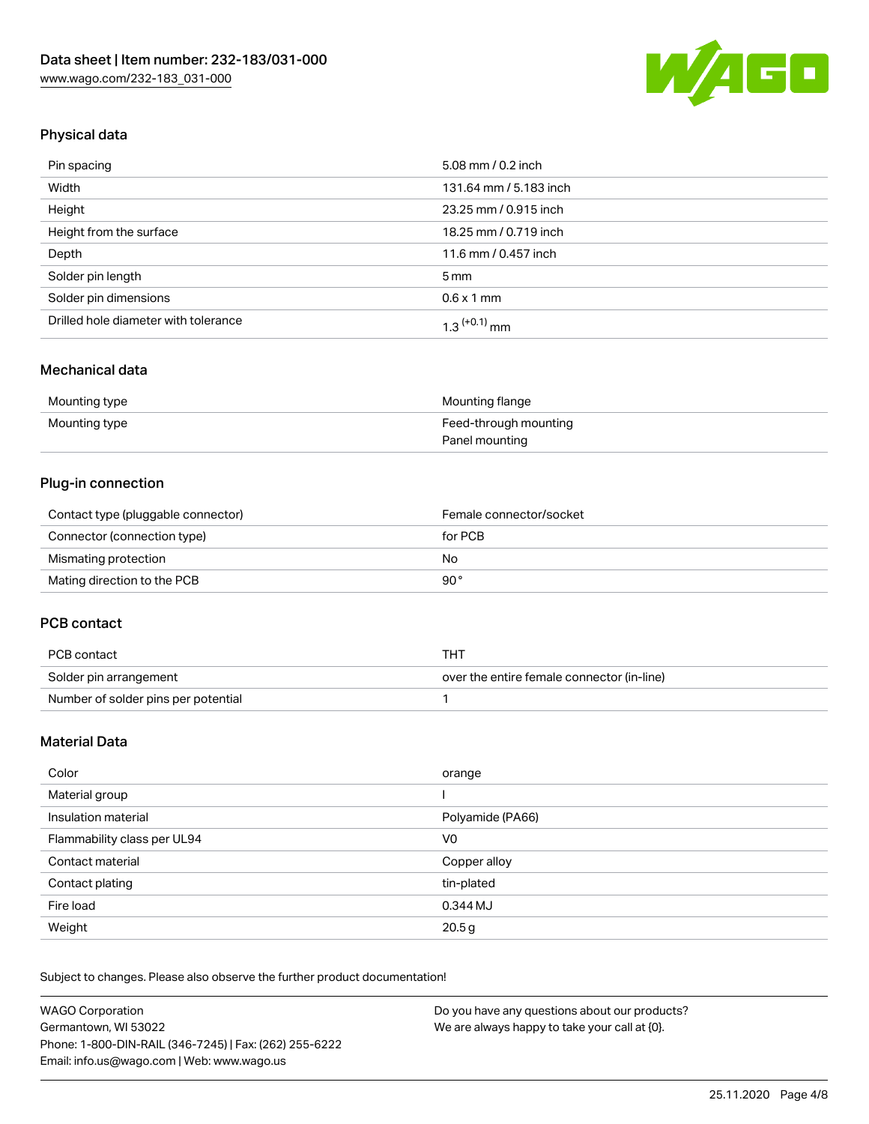

## Physical data

| Pin spacing                          | 5.08 mm / 0.2 inch     |
|--------------------------------------|------------------------|
| Width                                | 131.64 mm / 5.183 inch |
| Height                               | 23.25 mm / 0.915 inch  |
| Height from the surface              | 18.25 mm / 0.719 inch  |
| Depth                                | 11.6 mm / 0.457 inch   |
| Solder pin length                    | $5 \,\mathrm{mm}$      |
| Solder pin dimensions                | $0.6 \times 1$ mm      |
| Drilled hole diameter with tolerance | $1.3$ $(+0.1)$ mm      |

### Mechanical data

| Mounting type | Mounting flange       |
|---------------|-----------------------|
| Mounting type | Feed-through mounting |
|               | Panel mounting        |

## Plug-in connection

| Contact type (pluggable connector) | Female connector/socket |
|------------------------------------|-------------------------|
| Connector (connection type)        | for PCB                 |
| Mismating protection               | No                      |
| Mating direction to the PCB        | 90°                     |

#### PCB contact

| PCB contact                         | THT                                        |
|-------------------------------------|--------------------------------------------|
| Solder pin arrangement              | over the entire female connector (in-line) |
| Number of solder pins per potential |                                            |

## Material Data

| Color                       | orange           |
|-----------------------------|------------------|
| Material group              |                  |
| Insulation material         | Polyamide (PA66) |
| Flammability class per UL94 | V0               |
| Contact material            | Copper alloy     |
| Contact plating             | tin-plated       |
| Fire load                   | 0.344 MJ         |
| Weight                      | 20.5g            |

Subject to changes. Please also observe the further product documentation!

| <b>WAGO Corporation</b>                                | Do you have any questions about our products? |
|--------------------------------------------------------|-----------------------------------------------|
| Germantown, WI 53022                                   | We are always happy to take your call at {0}. |
| Phone: 1-800-DIN-RAIL (346-7245)   Fax: (262) 255-6222 |                                               |
| Email: info.us@wago.com   Web: www.wago.us             |                                               |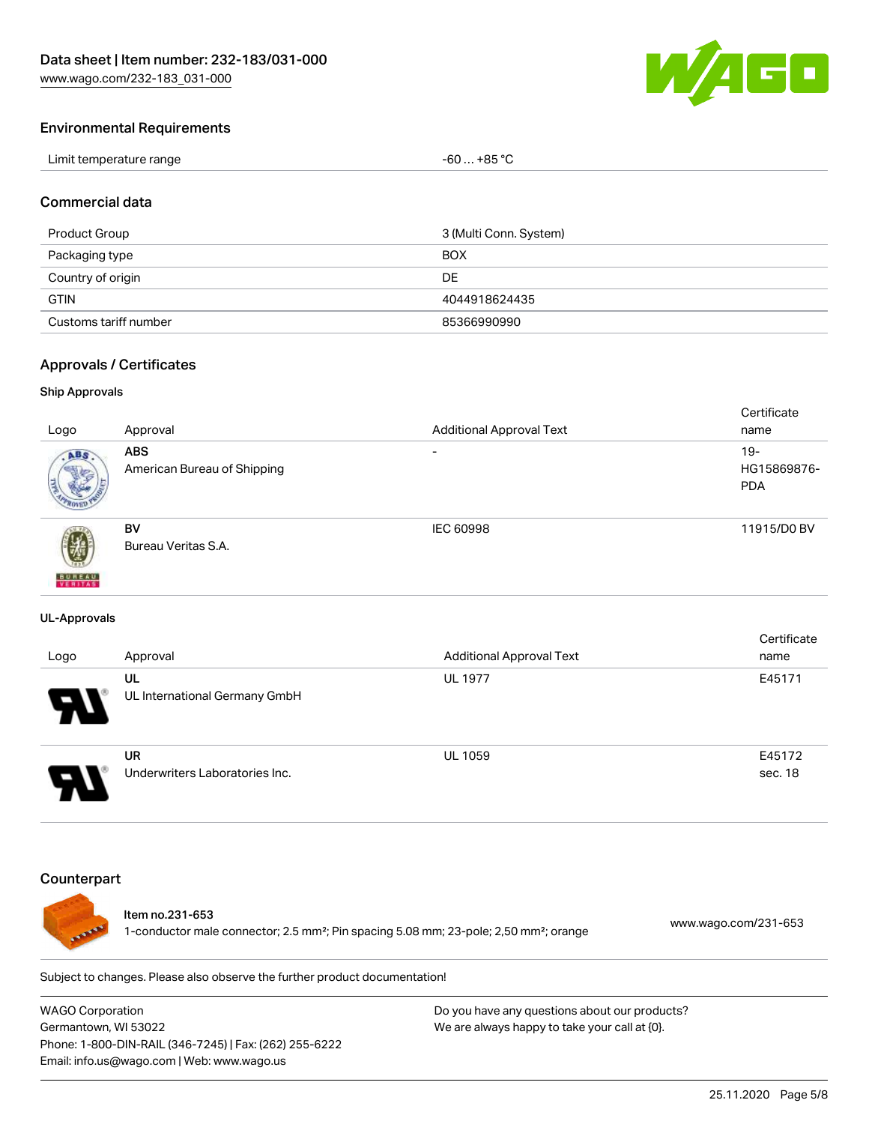

#### Environmental Requirements

| Limit temperature range | . +85 °C<br>-60 |
|-------------------------|-----------------|
|-------------------------|-----------------|

#### Commercial data

| Product Group         | 3 (Multi Conn. System) |
|-----------------------|------------------------|
| Packaging type        | <b>BOX</b>             |
| Country of origin     | DE                     |
| <b>GTIN</b>           | 4044918624435          |
| Customs tariff number | 85366990990            |

#### Approvals / Certificates

#### Ship Approvals

|                           |                             |                                 | Certificate |
|---------------------------|-----------------------------|---------------------------------|-------------|
| Logo                      | Approval                    | <b>Additional Approval Text</b> | name        |
| ABS.                      | <b>ABS</b>                  | $\overline{\phantom{a}}$        | $19 -$      |
|                           | American Bureau of Shipping |                                 | HG15869876- |
|                           |                             |                                 | <b>PDA</b>  |
|                           |                             |                                 |             |
|                           | <b>BV</b>                   | IEC 60998                       | 11915/D0 BV |
| 瓕                         | Bureau Veritas S.A.         |                                 |             |
|                           |                             |                                 |             |
| <b>BUREAU</b><br>VERITAST |                             |                                 |             |

#### UL-Approvals

| Logo | Approval                             | <b>Additional Approval Text</b> | Certificate<br>name |
|------|--------------------------------------|---------------------------------|---------------------|
| Р.   | UL<br>UL International Germany GmbH  | <b>UL 1977</b>                  | E45171              |
| o    | UR<br>Underwriters Laboratories Inc. | <b>UL 1059</b>                  | E45172<br>sec. 18   |

#### **Counterpart**



### Item no.231-653

1-conductor male connector; 2.5 mm²; Pin spacing 5.08 mm; 23-pole; 2,50 mm²; orange [www.wago.com/231-653](https://www.wago.com/231-653)

Subject to changes. Please also observe the further product documentation!

WAGO Corporation Germantown, WI 53022 Phone: 1-800-DIN-RAIL (346-7245) | Fax: (262) 255-6222 Email: info.us@wago.com | Web: www.wago.us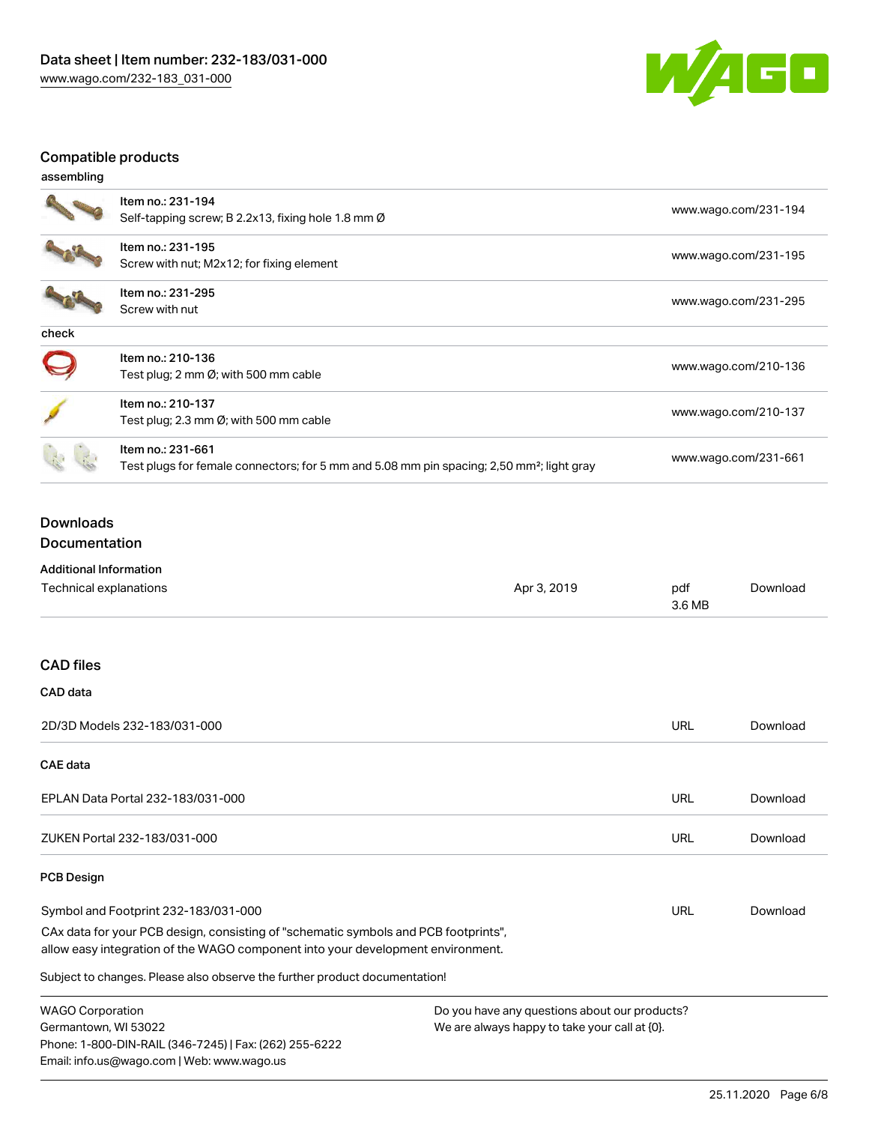

## Compatible products

| assembling |                                                                                                                            |                      |
|------------|----------------------------------------------------------------------------------------------------------------------------|----------------------|
|            | Item no.: 231-194<br>Self-tapping screw; B 2.2x13, fixing hole 1.8 mm $\varnothing$                                        | www.wago.com/231-194 |
|            | Item no.: 231-195<br>Screw with nut; M2x12; for fixing element                                                             | www.wago.com/231-195 |
|            | Item no.: 231-295<br>Screw with nut                                                                                        | www.wago.com/231-295 |
| check      |                                                                                                                            |                      |
|            | Item no.: 210-136<br>Test plug; 2 mm $\varnothing$ ; with 500 mm cable                                                     | www.wago.com/210-136 |
|            | Item no.: 210-137<br>Test plug; 2.3 mm $\varnothing$ ; with 500 mm cable                                                   | www.wago.com/210-137 |
|            | Item no.: 231-661<br>Test plugs for female connectors; for 5 mm and 5.08 mm pin spacing; 2,50 mm <sup>2</sup> ; light gray | www.wago.com/231-661 |

## Downloads Documentation

## Additional Information

| Technical explanations                                                                                                                                                 | Apr 3, 2019                                   | pdf<br>3.6 MB | Download |
|------------------------------------------------------------------------------------------------------------------------------------------------------------------------|-----------------------------------------------|---------------|----------|
| <b>CAD files</b>                                                                                                                                                       |                                               |               |          |
| CAD data                                                                                                                                                               |                                               |               |          |
| 2D/3D Models 232-183/031-000                                                                                                                                           |                                               | <b>URL</b>    | Download |
| CAE data                                                                                                                                                               |                                               |               |          |
| EPLAN Data Portal 232-183/031-000                                                                                                                                      |                                               | URL           | Download |
| ZUKEN Portal 232-183/031-000                                                                                                                                           |                                               | <b>URL</b>    | Download |
| <b>PCB Design</b>                                                                                                                                                      |                                               |               |          |
| Symbol and Footprint 232-183/031-000                                                                                                                                   |                                               | URL           | Download |
| CAx data for your PCB design, consisting of "schematic symbols and PCB footprints",<br>allow easy integration of the WAGO component into your development environment. |                                               |               |          |
| Subject to changes. Please also observe the further product documentation!                                                                                             |                                               |               |          |
| <b>WAGO Corporation</b>                                                                                                                                                | Do you have any questions about our products? |               |          |

Germantown, WI 53022 Phone: 1-800-DIN-RAIL (346-7245) | Fax: (262) 255-6222 Email: info.us@wago.com | Web: www.wago.us

We are always happy to take your call at {0}.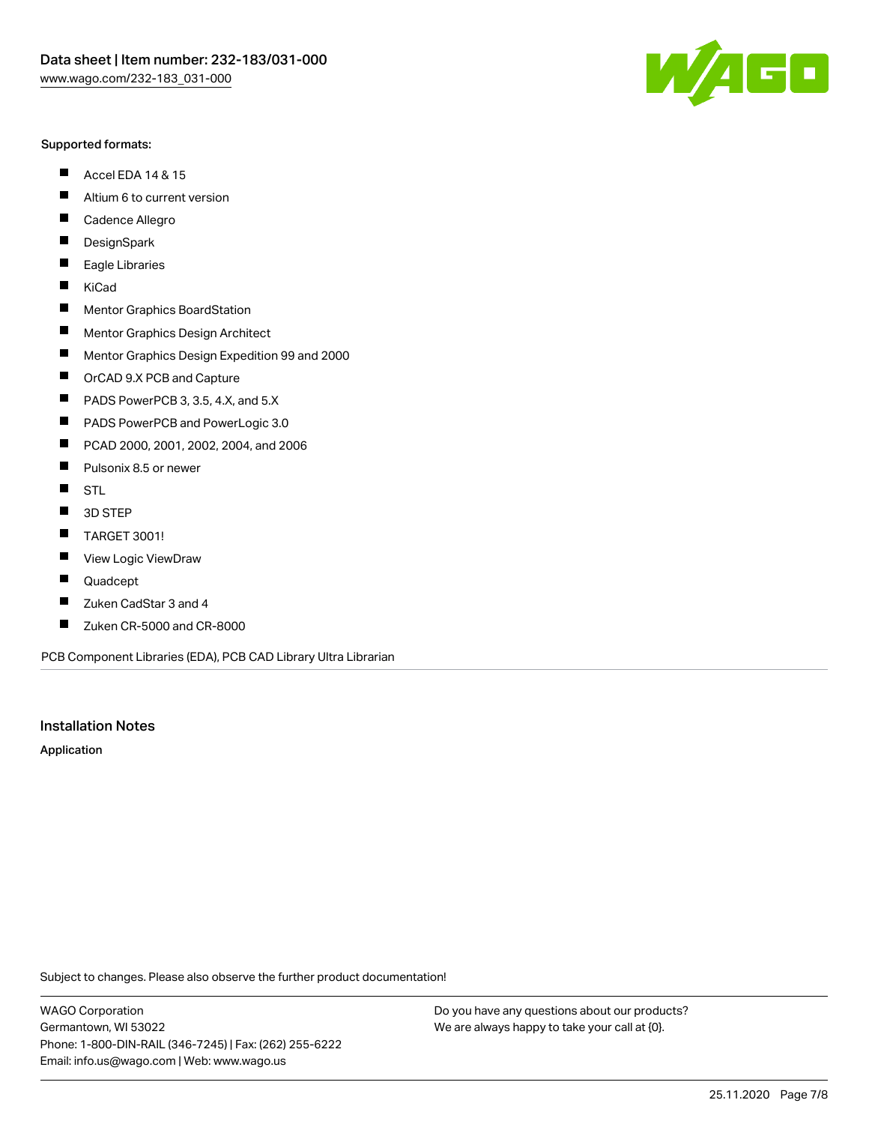#### Supported formats:

- $\blacksquare$ Accel EDA 14 & 15
- $\blacksquare$ Altium 6 to current version
- $\blacksquare$ Cadence Allegro
- $\blacksquare$ **DesignSpark**
- $\blacksquare$ Eagle Libraries
- $\blacksquare$ KiCad
- $\blacksquare$ Mentor Graphics BoardStation
- $\blacksquare$ Mentor Graphics Design Architect
- $\blacksquare$ Mentor Graphics Design Expedition 99 and 2000
- $\blacksquare$ OrCAD 9.X PCB and Capture
- $\blacksquare$ PADS PowerPCB 3, 3.5, 4.X, and 5.X
- $\blacksquare$ PADS PowerPCB and PowerLogic 3.0
- $\blacksquare$ PCAD 2000, 2001, 2002, 2004, and 2006
- $\blacksquare$ Pulsonix 8.5 or newer
- $\blacksquare$ STL
- 3D STEP П
- $\blacksquare$ TARGET 3001!
- $\blacksquare$ View Logic ViewDraw
- $\blacksquare$ Quadcept
- Zuken CadStar 3 and 4  $\blacksquare$
- Zuken CR-5000 and CR-8000 П

PCB Component Libraries (EDA), PCB CAD Library Ultra Librarian

#### Installation Notes

Application

Subject to changes. Please also observe the further product documentation!

WAGO Corporation Germantown, WI 53022 Phone: 1-800-DIN-RAIL (346-7245) | Fax: (262) 255-6222 Email: info.us@wago.com | Web: www.wago.us